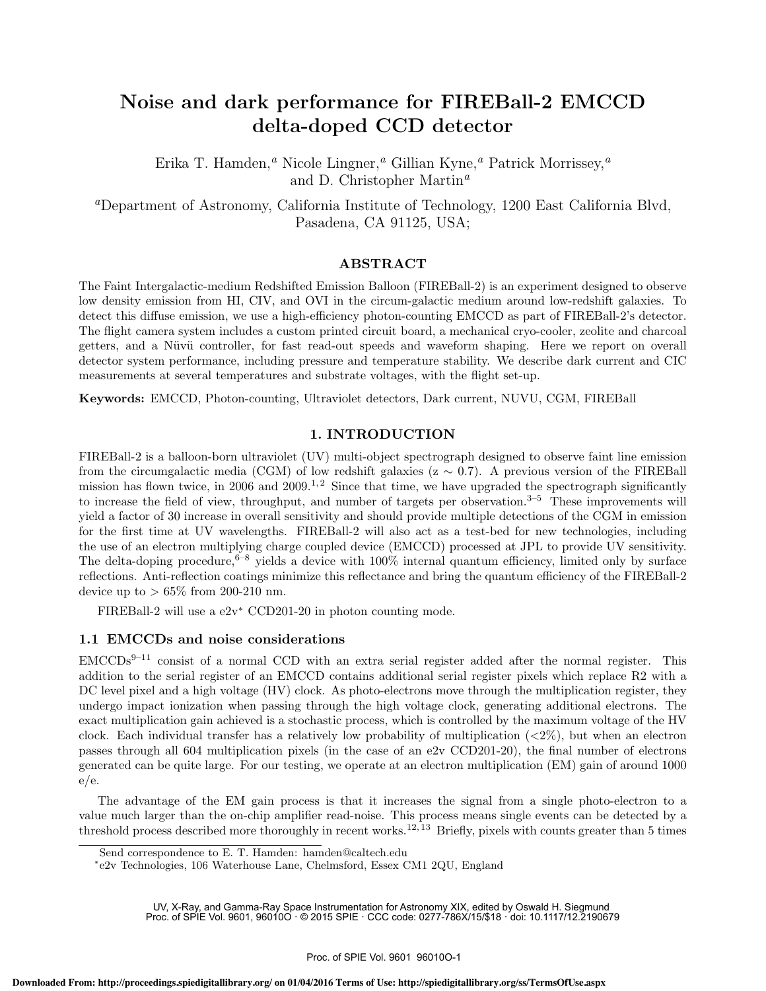# Noise and dark performance for FIREBall-2 EMCCD delta-doped CCD detector

Erika T. Hamden,*<sup>a</sup>* Nicole Lingner,*<sup>a</sup>* Gillian Kyne,*<sup>a</sup>* Patrick Morrissey,*<sup>a</sup>* and D. Christopher Martin*<sup>a</sup>*

*<sup>a</sup>*Department of Astronomy, California Institute of Technology, 1200 East California Blvd, Pasadena, CA 91125, USA;

### ABSTRACT

The Faint Intergalactic-medium Redshifted Emission Balloon (FIREBall-2) is an experiment designed to observe low density emission from HI, CIV, and OVI in the circum-galactic medium around low-redshift galaxies. To detect this diffuse emission, we use a high-efficiency photon-counting EMCCD as part of FIREBall-2's detector. The flight camera system includes a custom printed circuit board, a mechanical cryo-cooler, zeolite and charcoal getters, and a Nüvü controller, for fast read-out speeds and waveform shaping. Here we report on overall detector system performance, including pressure and temperature stability. We describe dark current and CIC measurements at several temperatures and substrate voltages, with the flight set-up.

Keywords: EMCCD, Photon-counting, Ultraviolet detectors, Dark current, NUVU, CGM, FIREBall

## 1. INTRODUCTION

FIREBall-2 is a balloon-born ultraviolet (UV) multi-object spectrograph designed to observe faint line emission from the circumgalactic media (CGM) of low redshift galaxies ( $z \sim 0.7$ ). A previous version of the FIREBall mission has flown twice, in 2006 and 2009.<sup>1,2</sup> Since that time, we have upgraded the spectrograph significantly to increase the field of view, throughput, and number of targets per observation. $3-5$  These improvements will yield a factor of 30 increase in overall sensitivity and should provide multiple detections of the CGM in emission for the first time at UV wavelengths. FIREBall-2 will also act as a test-bed for new technologies, including the use of an electron multiplying charge coupled device (EMCCD) processed at JPL to provide UV sensitivity. The delta-doping procedure,  $6-8$  yields a device with  $100\%$  internal quantum efficiency, limited only by surface reflections. Anti-reflection coatings minimize this reflectance and bring the quantum efficiency of the FIREBall-2 device up to  $> 65\%$  from 200-210 nm.

FIREBall-2 will use a  $e2v^*$  CCD201-20 in photon counting mode.

### 1.1 EMCCDs and noise considerations

 $EMCCDs<sup>9–11</sup>$  consist of a normal CCD with an extra serial register added after the normal register. This addition to the serial register of an EMCCD contains additional serial register pixels which replace R2 with a DC level pixel and a high voltage (HV) clock. As photo-electrons move through the multiplication register, they undergo impact ionization when passing through the high voltage clock, generating additional electrons. The exact multiplication gain achieved is a stochastic process, which is controlled by the maximum voltage of the HV clock. Each individual transfer has a relatively low probability of multiplication (*<*2%), but when an electron passes through all 604 multiplication pixels (in the case of an e2v CCD201-20), the final number of electrons generated can be quite large. For our testing, we operate at an electron multiplication (EM) gain of around 1000 e/e.

The advantage of the EM gain process is that it increases the signal from a single photo-electron to a value much larger than the on-chip amplifier read-noise. This process means single events can be detected by a threshold process described more thoroughly in recent works.<sup>12, 13</sup> Briefly, pixels with counts greater than 5 times

Send correspondence to E. T. Hamden: hamden@caltech.edu

<sup>⇤</sup>e2v Technologies, 106 Waterhouse Lane, Chelmsford, Essex CM1 2QU, England

<sup>9</sup> UV, X-Ray, and Gamma-Ray Space Instrumentation for Astronomy XIX, edited by Oswald H. Siegmund<br>1987- Proc. of SPIE Vol. 9601, 96010O · © 2015 SPIE · CCC code: 0277-786X/15/\$18 · doi: 10.1117/12.2190679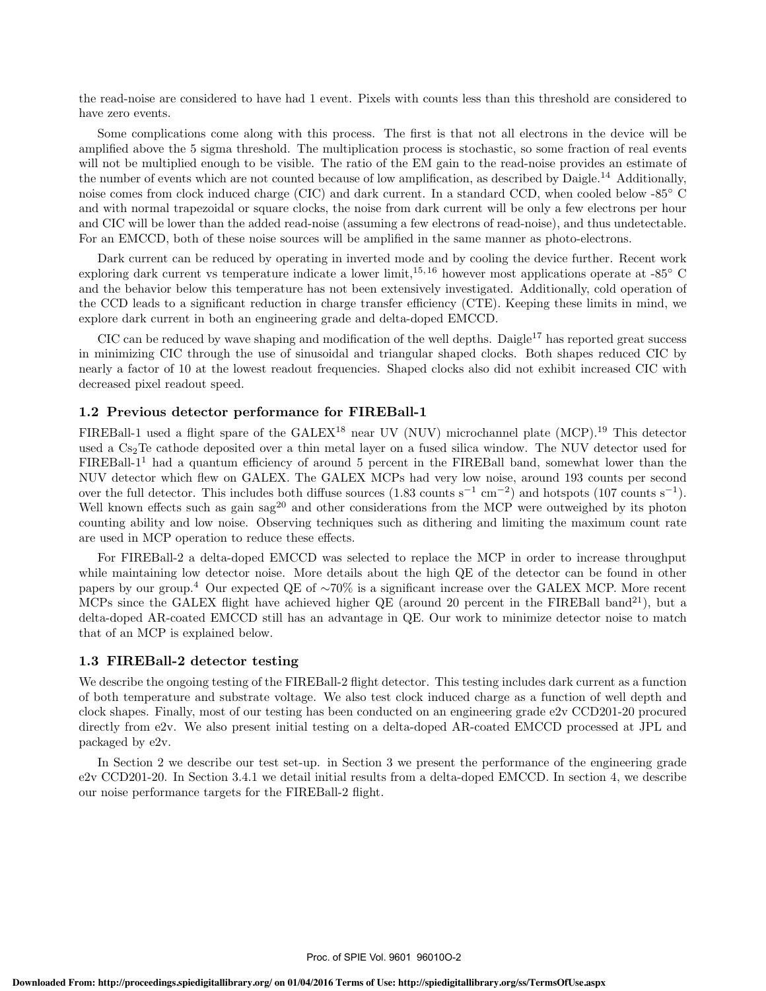the read-noise are considered to have had 1 event. Pixels with counts less than this threshold are considered to have zero events.

Some complications come along with this process. The first is that not all electrons in the device will be amplified above the 5 sigma threshold. The multiplication process is stochastic, so some fraction of real events will not be multiplied enough to be visible. The ratio of the EM gain to the read-noise provides an estimate of the number of events which are not counted because of low amplification, as described by Daigle.<sup>14</sup> Additionally, noise comes from clock induced charge (CIC) and dark current. In a standard CCD, when cooled below -85° C and with normal trapezoidal or square clocks, the noise from dark current will be only a few electrons per hour and CIC will be lower than the added read-noise (assuming a few electrons of read-noise), and thus undetectable. For an EMCCD, both of these noise sources will be amplified in the same manner as photo-electrons.

Dark current can be reduced by operating in inverted mode and by cooling the device further. Recent work exploring dark current vs temperature indicate a lower limit,  $15, 16$  however most applications operate at  $-85^{\circ}$  C and the behavior below this temperature has not been extensively investigated. Additionally, cold operation of the CCD leads to a significant reduction in charge transfer efficiency (CTE). Keeping these limits in mind, we explore dark current in both an engineering grade and delta-doped EMCCD.

CIC can be reduced by wave shaping and modification of the well depths. Daigle<sup>17</sup> has reported great success in minimizing CIC through the use of sinusoidal and triangular shaped clocks. Both shapes reduced CIC by nearly a factor of 10 at the lowest readout frequencies. Shaped clocks also did not exhibit increased CIC with decreased pixel readout speed.

### 1.2 Previous detector performance for FIREBall-1

FIREBall-1 used a flight spare of the GALEX<sup>18</sup> near UV (NUV) microchannel plate (MCP).<sup>19</sup> This detector used a Cs<sub>2</sub>Te cathode deposited over a thin metal layer on a fused silica window. The NUV detector used for  $FIREBall-1<sup>1</sup>$  had a quantum efficiency of around 5 percent in the FIREBall band, somewhat lower than the NUV detector which flew on GALEX. The GALEX MCPs had very low noise, around 193 counts per second over the full detector. This includes both diffuse sources  $(1.83 \text{ counts s}^{-1} \text{ cm}^{-2})$  and hotspots  $(107 \text{ counts s}^{-1})$ . Well known effects such as gain sag<sup>20</sup> and other considerations from the MCP were outweighed by its photon counting ability and low noise. Observing techniques such as dithering and limiting the maximum count rate are used in MCP operation to reduce these effects.

For FIREBall-2 a delta-doped EMCCD was selected to replace the MCP in order to increase throughput while maintaining low detector noise. More details about the high QE of the detector can be found in other papers by our group.<sup>4</sup> Our expected QE of  $\sim 70\%$  is a significant increase over the GALEX MCP. More recent MCPs since the GALEX flight have achieved higher QE (around 20 percent in the FIREBall band<sup>21</sup>), but a delta-doped AR-coated EMCCD still has an advantage in QE. Our work to minimize detector noise to match that of an MCP is explained below.

### 1.3 FIREBall-2 detector testing

We describe the ongoing testing of the FIREBall-2 flight detector. This testing includes dark current as a function of both temperature and substrate voltage. We also test clock induced charge as a function of well depth and clock shapes. Finally, most of our testing has been conducted on an engineering grade e2v CCD201-20 procured directly from e2v. We also present initial testing on a delta-doped AR-coated EMCCD processed at JPL and packaged by e2v.

In Section 2 we describe our test set-up. in Section 3 we present the performance of the engineering grade e2v CCD201-20. In Section 3.4.1 we detail initial results from a delta-doped EMCCD. In section 4, we describe our noise performance targets for the FIREBall-2 flight.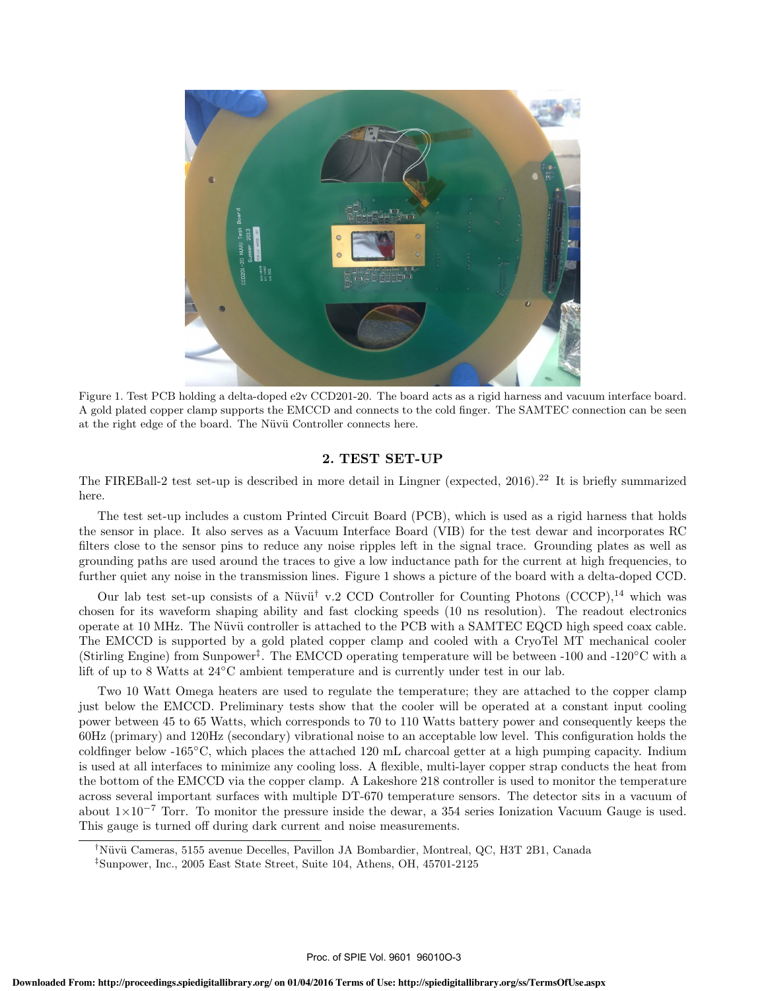

Figure 1. Test PCB holding a delta-doped e2v CCD201-20. The board acts as a rigid harness and vacuum interface board. A gold plated copper clamp supports the EMCCD and connects to the cold finger. The SAMTEC connection can be seen at the right edge of the board. The Nüvü Controller connects here.

#### 2. TEST SET-UP

The FIREBall-2 test set-up is described in more detail in Lingner (expected, 2016).<sup>22</sup> It is briefly summarized here.

The test set-up includes a custom Printed Circuit Board (PCB), which is used as a rigid harness that holds the sensor in place. It also serves as a Vacuum Interface Board (VIB) for the test dewar and incorporates RC filters close to the sensor pins to reduce any noise ripples left in the signal trace. Grounding plates as well as grounding paths are used around the traces to give a low inductance path for the current at high frequencies, to further quiet any noise in the transmission lines. Figure 1 shows a picture of the board with a delta-doped CCD.

Our lab test set-up consists of a Nüvü<sup>†</sup> v.2 CCD Controller for Counting Photons (CCCP),<sup>14</sup> which was chosen for its waveform shaping ability and fast clocking speeds (10 ns resolution). The readout electronics operate at 10 MHz. The Nüvü controller is attached to the PCB with a SAMTEC EQCD high speed coax cable. The EMCCD is supported by a gold plated copper clamp and cooled with a CryoTel MT mechanical cooler (Stirling Engine) from Sunpower<sup>†</sup>. The EMCCD operating temperature will be between  $-100$  and  $-120^{\circ}$ C with a lift of up to 8 Watts at  $24^{\circ}$ C ambient temperature and is currently under test in our lab.

Two 10 Watt Omega heaters are used to regulate the temperature; they are attached to the copper clamp just below the EMCCD. Preliminary tests show that the cooler will be operated at a constant input cooling power between 45 to 65 Watts, which corresponds to 70 to 110 Watts battery power and consequently keeps the 60Hz (primary) and 120Hz (secondary) vibrational noise to an acceptable low level. This configuration holds the coldfinger below -165 $^{\circ}$ C, which places the attached 120 mL charcoal getter at a high pumping capacity. Indium is used at all interfaces to minimize any cooling loss. A flexible, multi-layer copper strap conducts the heat from the bottom of the EMCCD via the copper clamp. A Lakeshore 218 controller is used to monitor the temperature across several important surfaces with multiple DT-670 temperature sensors. The detector sits in a vacuum of about  $1\times10^{-7}$  Torr. To monitor the pressure inside the dewar, a 354 series Ionization Vacuum Gauge is used. This gauge is turned off during dark current and noise measurements.

<sup>&</sup>lt;sup>†</sup>Nüvü Cameras, 5155 avenue Decelles, Pavillon JA Bombardier, Montreal, QC, H3T 2B1, Canada

*<sup>‡</sup>*Sunpower, Inc., 2005 East State Street, Suite 104, Athens, OH, 45701-2125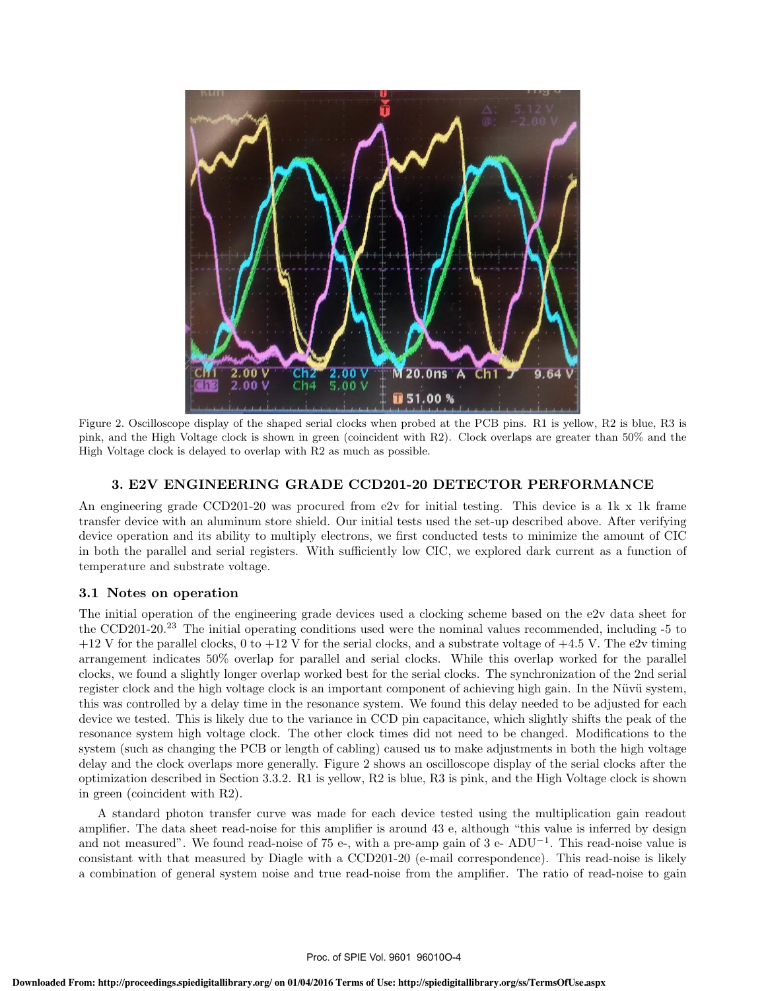

Figure 2. Oscilloscope display of the shaped serial clocks when probed at the PCB pins. R1 is yellow, R2 is blue, R3 is pink, and the High Voltage clock is shown in green (coincident with R2). Clock overlaps are greater than 50% and the High Voltage clock is delayed to overlap with R2 as much as possible.

# 3. E2V ENGINEERING GRADE CCD201-20 DETECTOR PERFORMANCE

An engineering grade CCD201-20 was procured from e2v for initial testing. This device is a 1k x 1k frame transfer device with an aluminum store shield. Our initial tests used the set-up described above. After verifying device operation and its ability to multiply electrons, we first conducted tests to minimize the amount of CIC in both the parallel and serial registers. With sufficiently low CIC, we explored dark current as a function of temperature and substrate voltage.

# 3.1 Notes on operation

The initial operation of the engineering grade devices used a clocking scheme based on the e2v data sheet for the CCD201-20.<sup>23</sup> The initial operating conditions used were the nominal values recommended, including -5 to  $+12$  V for the parallel clocks, 0 to  $+12$  V for the serial clocks, and a substrate voltage of  $+4.5$  V. The e2v timing arrangement indicates 50% overlap for parallel and serial clocks. While this overlap worked for the parallel clocks, we found a slightly longer overlap worked best for the serial clocks. The synchronization of the 2nd serial register clock and the high voltage clock is an important component of achieving high gain. In the Nüvü system, this was controlled by a delay time in the resonance system. We found this delay needed to be adjusted for each device we tested. This is likely due to the variance in CCD pin capacitance, which slightly shifts the peak of the resonance system high voltage clock. The other clock times did not need to be changed. Modifications to the system (such as changing the PCB or length of cabling) caused us to make adjustments in both the high voltage delay and the clock overlaps more generally. Figure 2 shows an oscilloscope display of the serial clocks after the optimization described in Section 3.3.2. R1 is yellow, R2 is blue, R3 is pink, and the High Voltage clock is shown in green (coincident with R2).

A standard photon transfer curve was made for each device tested using the multiplication gain readout amplifier. The data sheet read-noise for this amplifier is around 43 e, although "this value is inferred by design and not measured". We found read-noise of 75 e-, with a pre-amp gain of 3 e-  $ADU^{-1}$ . This read-noise value is consistant with that measured by Diagle with a CCD201-20 (e-mail correspondence). This read-noise is likely a combination of general system noise and true read-noise from the amplifier. The ratio of read-noise to gain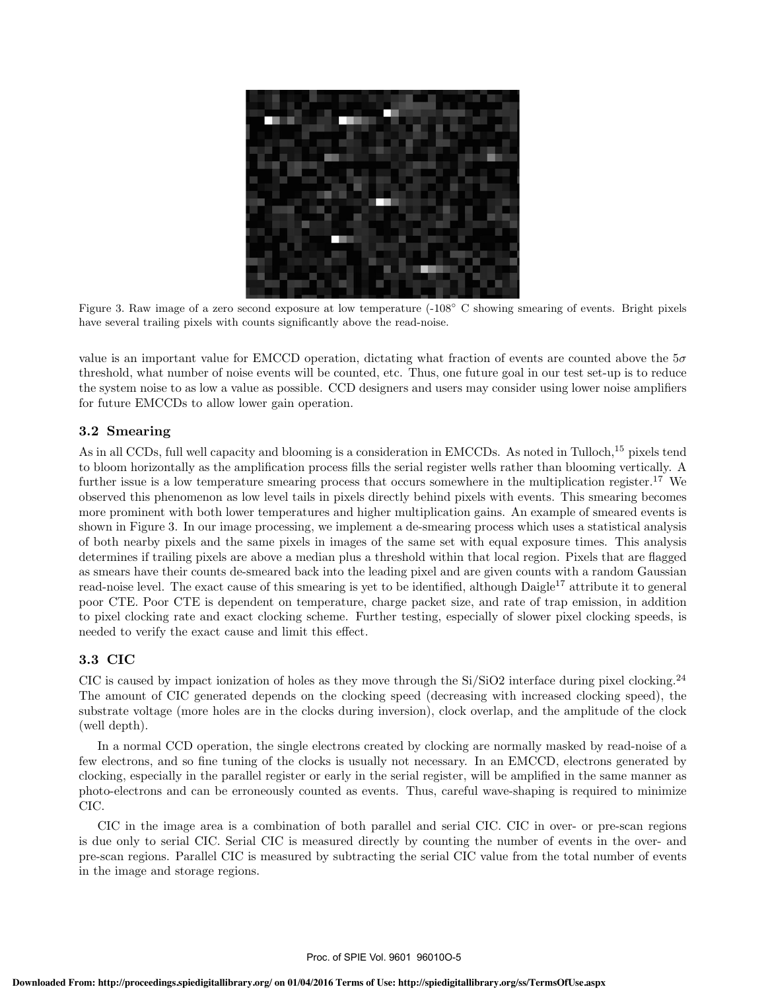

Figure 3. Raw image of a zero second exposure at low temperature (-108° C showing smearing of events. Bright pixels have several trailing pixels with counts significantly above the read-noise.

value is an important value for EMCCD operation, dictating what fraction of events are counted above the  $5\sigma$ threshold, what number of noise events will be counted, etc. Thus, one future goal in our test set-up is to reduce the system noise to as low a value as possible. CCD designers and users may consider using lower noise amplifiers for future EMCCDs to allow lower gain operation.

# 3.2 Smearing

As in all CCDs, full well capacity and blooming is a consideration in EMCCDs. As noted in Tulloch,<sup>15</sup> pixels tend to bloom horizontally as the amplification process fills the serial register wells rather than blooming vertically. A further issue is a low temperature smearing process that occurs somewhere in the multiplication register.<sup>17</sup> We observed this phenomenon as low level tails in pixels directly behind pixels with events. This smearing becomes more prominent with both lower temperatures and higher multiplication gains. An example of smeared events is shown in Figure 3. In our image processing, we implement a de-smearing process which uses a statistical analysis of both nearby pixels and the same pixels in images of the same set with equal exposure times. This analysis determines if trailing pixels are above a median plus a threshold within that local region. Pixels that are flagged as smears have their counts de-smeared back into the leading pixel and are given counts with a random Gaussian read-noise level. The exact cause of this smearing is yet to be identified, although Daigle<sup>17</sup> attribute it to general poor CTE. Poor CTE is dependent on temperature, charge packet size, and rate of trap emission, in addition to pixel clocking rate and exact clocking scheme. Further testing, especially of slower pixel clocking speeds, is needed to verify the exact cause and limit this effect.

# 3.3 CIC

CIC is caused by impact ionization of holes as they move through the  $Si/SiO2$  interface during pixel clocking.<sup>24</sup> The amount of CIC generated depends on the clocking speed (decreasing with increased clocking speed), the substrate voltage (more holes are in the clocks during inversion), clock overlap, and the amplitude of the clock (well depth).

In a normal CCD operation, the single electrons created by clocking are normally masked by read-noise of a few electrons, and so fine tuning of the clocks is usually not necessary. In an EMCCD, electrons generated by clocking, especially in the parallel register or early in the serial register, will be amplified in the same manner as photo-electrons and can be erroneously counted as events. Thus, careful wave-shaping is required to minimize CIC.

CIC in the image area is a combination of both parallel and serial CIC. CIC in over- or pre-scan regions is due only to serial CIC. Serial CIC is measured directly by counting the number of events in the over- and pre-scan regions. Parallel CIC is measured by subtracting the serial CIC value from the total number of events in the image and storage regions.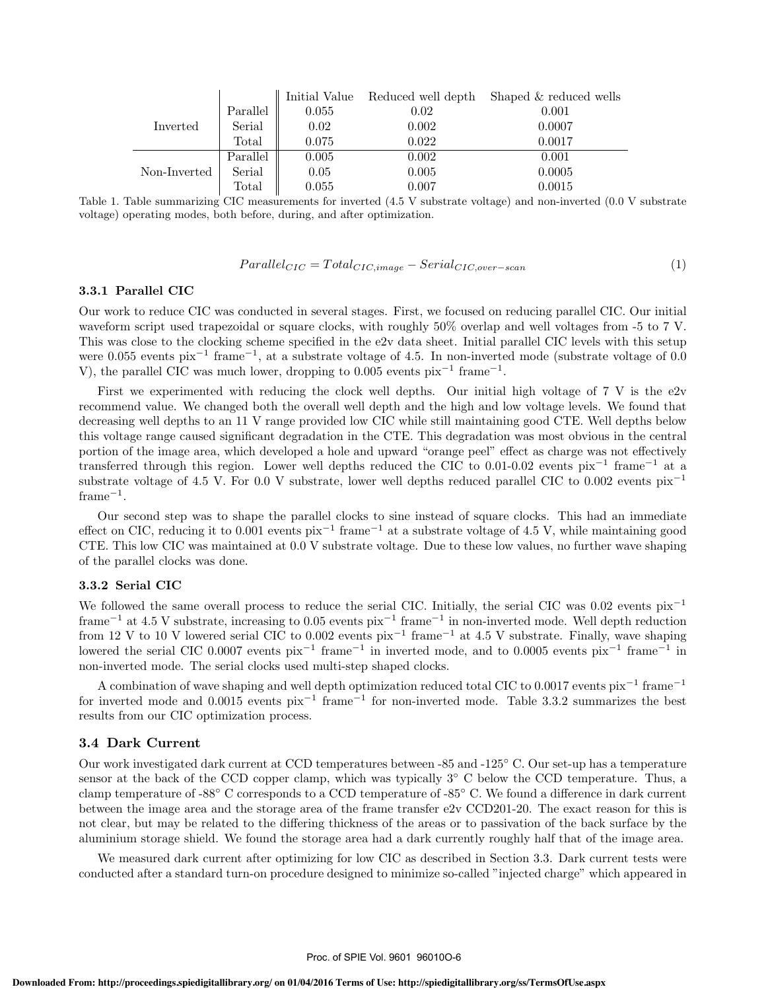|              |                |       | Initial Value Reduced well depth | Shaped & reduced wells |
|--------------|----------------|-------|----------------------------------|------------------------|
| Inverted     | Parallel       | 0.055 | 0.02                             | 0.001                  |
|              | Serial         | 0.02  | 0.002                            | 0.0007                 |
|              | Total          | 0.075 | 0.022                            | 0.0017                 |
| Non-Inverted | Parallel       | 0.005 | 0.002                            | 0.001                  |
|              | Serial         | 0.05  | 0.005                            | 0.0005                 |
|              | $\text{Total}$ | 0.055 | 0.007                            | 0.0015                 |

Table 1. Table summarizing CIC measurements for inverted (4.5 V substrate voltage) and non-inverted (0.0 V substrate voltage) operating modes, both before, during, and after optimization.

$$
Parallel_{CIC} = Total_{CIC, image} - Serial_{CIC, over-scan}
$$
\n<sup>(1)</sup>

### 3.3.1 Parallel CIC

Our work to reduce CIC was conducted in several stages. First, we focused on reducing parallel CIC. Our initial waveform script used trapezoidal or square clocks, with roughly 50% overlap and well voltages from -5 to 7 V. This was close to the clocking scheme specified in the e2v data sheet. Initial parallel CIC levels with this setup were  $0.055$  events pix<sup>-1</sup> frame<sup>-1</sup>, at a substrate voltage of 4.5. In non-inverted mode (substrate voltage of 0.0 V), the parallel CIC was much lower, dropping to 0.005 events  $pix^{-1}$  frame<sup>-1</sup>.

First we experimented with reducing the clock well depths. Our initial high voltage of  $7 V$  is the  $e2v$ recommend value. We changed both the overall well depth and the high and low voltage levels. We found that decreasing well depths to an 11 V range provided low CIC while still maintaining good CTE. Well depths below this voltage range caused significant degradation in the CTE. This degradation was most obvious in the central portion of the image area, which developed a hole and upward "orange peel" effect as charge was not effectively transferred through this region. Lower well depths reduced the CIC to 0.01-0.02 events  $pix^{-1}$  frame<sup>-1</sup> at a substrate voltage of 4.5 V. For 0.0 V substrate, lower well depths reduced parallel CIC to 0.002 events  $\rm{pix}^{-1}$  $frame^{-1}$ .

Our second step was to shape the parallel clocks to sine instead of square clocks. This had an immediate effect on CIC, reducing it to 0.001 events  $pix^{-1}$  frame<sup>-1</sup> at a substrate voltage of 4.5 V, while maintaining good CTE. This low CIC was maintained at 0.0 V substrate voltage. Due to these low values, no further wave shaping of the parallel clocks was done.

### 3.3.2 Serial CIC

We followed the same overall process to reduce the serial CIC. Initially, the serial CIC was  $0.02$  events  $\rm{pix}^{-1}$ frame<sup>-1</sup> at 4.5 V substrate, increasing to 0.05 events  $pix^{-1}$  frame<sup>-1</sup> in non-inverted mode. Well depth reduction from 12 V to 10 V lowered serial CIC to 0.002 events  $pix^{-1}$  frame<sup>-1</sup> at 4.5 V substrate. Finally, wave shaping lowered the serial CIC 0.0007 events  $pix^{-1}$  frame<sup>-1</sup> in inverted mode, and to 0.0005 events  $pix^{-1}$  frame<sup>-1</sup> in non-inverted mode. The serial clocks used multi-step shaped clocks.

A combination of wave shaping and well depth optimization reduced total CIC to 0.0017 events  $\rm{pix}^{-1}$  frame<sup>-1</sup> for inverted mode and 0.0015 events  $pix^{-1}$  frame<sup>-1</sup> for non-inverted mode. Table 3.3.2 summarizes the best results from our CIC optimization process.

### 3.4 Dark Current

Our work investigated dark current at CCD temperatures between -85 and -125° C. Our set-up has a temperature sensor at the back of the CCD copper clamp, which was typically  $3^{\circ}$  C below the CCD temperature. Thus, a clamp temperature of -88 $^{\circ}$  C corresponds to a CCD temperature of -85 $^{\circ}$  C. We found a difference in dark current between the image area and the storage area of the frame transfer e2v CCD201-20. The exact reason for this is not clear, but may be related to the differing thickness of the areas or to passivation of the back surface by the aluminium storage shield. We found the storage area had a dark currently roughly half that of the image area.

We measured dark current after optimizing for low CIC as described in Section 3.3. Dark current tests were conducted after a standard turn-on procedure designed to minimize so-called "injected charge" which appeared in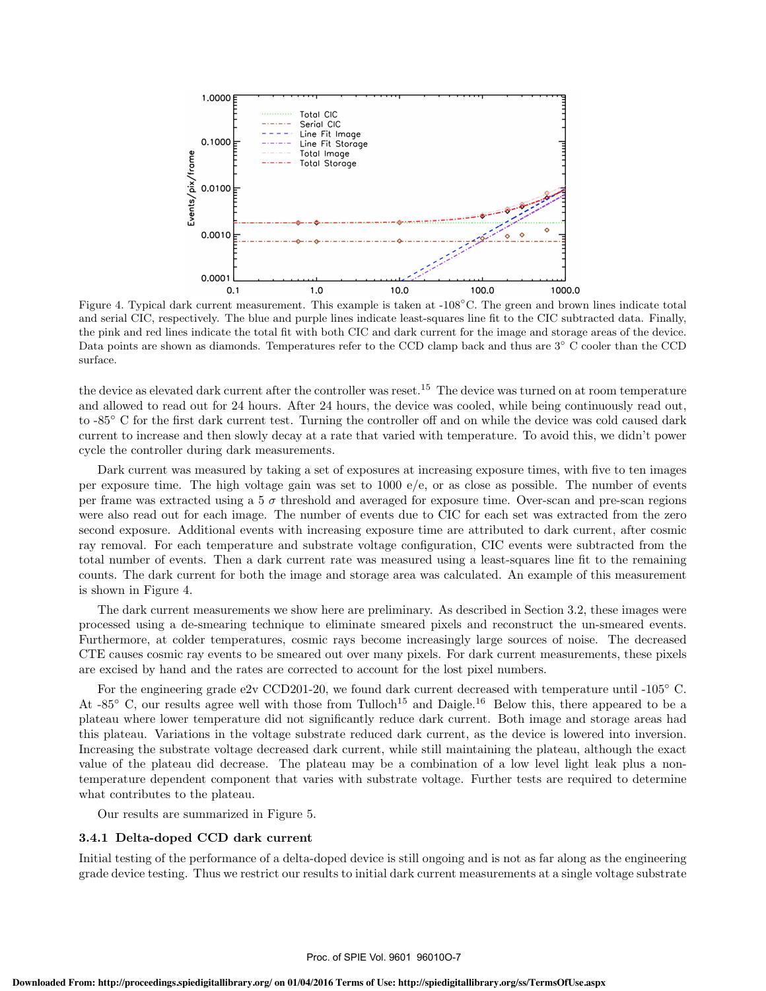

Figure 4. Typical dark current measurement. This example is taken at -108°C. The green and brown lines indicate total and serial CIC, respectively. The blue and purple lines indicate least-squares line fit to the CIC subtracted data. Finally, the pink and red lines indicate the total fit with both CIC and dark current for the image and storage areas of the device. Data points are shown as diamonds. Temperatures refer to the CCD clamp back and thus are 3<sup>°</sup> C cooler than the CCD surface.

the device as elevated dark current after the controller was reset.<sup>15</sup> The device was turned on at room temperature and allowed to read out for 24 hours. After 24 hours, the device was cooled, while being continuously read out, to -85° C for the first dark current test. Turning the controller off and on while the device was cold caused dark current to increase and then slowly decay at a rate that varied with temperature. To avoid this, we didn't power cycle the controller during dark measurements.

Dark current was measured by taking a set of exposures at increasing exposure times, with five to ten images per exposure time. The high voltage gain was set to 1000 e/e, or as close as possible. The number of events per frame was extracted using a  $5\sigma$  threshold and averaged for exposure time. Over-scan and pre-scan regions were also read out for each image. The number of events due to CIC for each set was extracted from the zero second exposure. Additional events with increasing exposure time are attributed to dark current, after cosmic ray removal. For each temperature and substrate voltage configuration, CIC events were subtracted from the total number of events. Then a dark current rate was measured using a least-squares line fit to the remaining counts. The dark current for both the image and storage area was calculated. An example of this measurement is shown in Figure 4.

The dark current measurements we show here are preliminary. As described in Section 3.2, these images were processed using a de-smearing technique to eliminate smeared pixels and reconstruct the un-smeared events. Furthermore, at colder temperatures, cosmic rays become increasingly large sources of noise. The decreased CTE causes cosmic ray events to be smeared out over many pixels. For dark current measurements, these pixels are excised by hand and the rates are corrected to account for the lost pixel numbers.

For the engineering grade e2v CCD201-20, we found dark current decreased with temperature until -105° C. At -85 $\degree$  C, our results agree well with those from Tulloch<sup>15</sup> and Daigle.<sup>16</sup> Below this, there appeared to be a plateau where lower temperature did not significantly reduce dark current. Both image and storage areas had this plateau. Variations in the voltage substrate reduced dark current, as the device is lowered into inversion. Increasing the substrate voltage decreased dark current, while still maintaining the plateau, although the exact value of the plateau did decrease. The plateau may be a combination of a low level light leak plus a nontemperature dependent component that varies with substrate voltage. Further tests are required to determine what contributes to the plateau.

Our results are summarized in Figure 5.

### 3.4.1 Delta-doped CCD dark current

Initial testing of the performance of a delta-doped device is still ongoing and is not as far along as the engineering grade device testing. Thus we restrict our results to initial dark current measurements at a single voltage substrate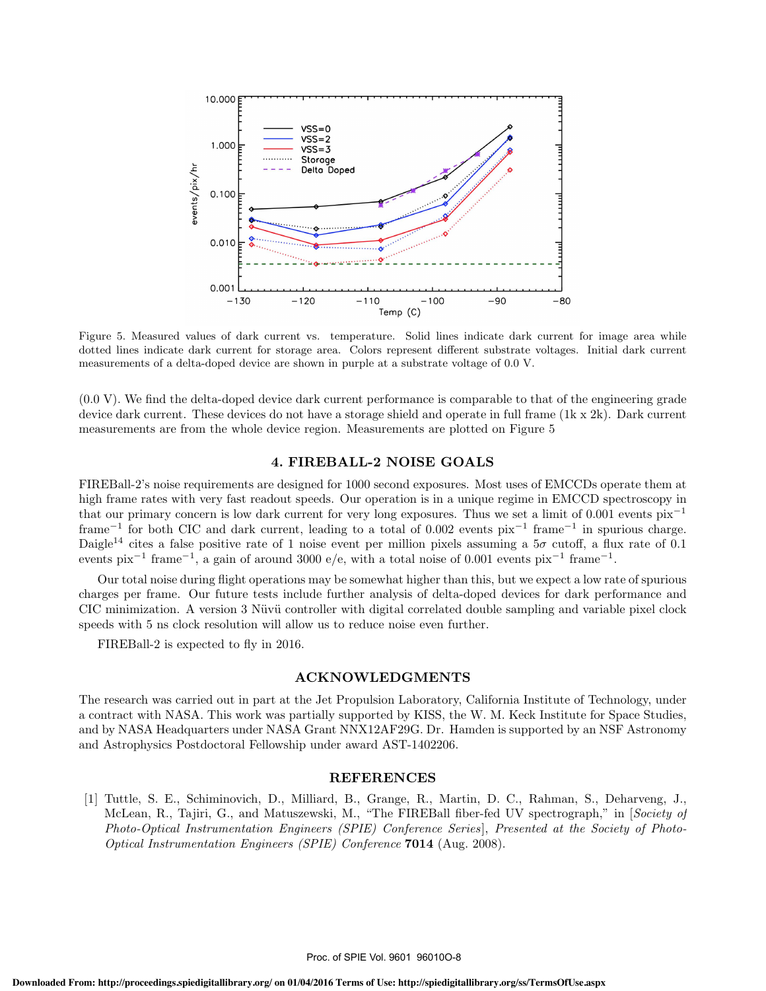

Figure 5. Measured values of dark current vs. temperature. Solid lines indicate dark current for image area while dotted lines indicate dark current for storage area. Colors represent different substrate voltages. Initial dark current measurements of a delta-doped device are shown in purple at a substrate voltage of 0.0 V.

(0.0 V). We find the delta-doped device dark current performance is comparable to that of the engineering grade device dark current. These devices do not have a storage shield and operate in full frame (1k x 2k). Dark current measurements are from the whole device region. Measurements are plotted on Figure 5

### 4. FIREBALL-2 NOISE GOALS

FIREBall-2's noise requirements are designed for 1000 second exposures. Most uses of EMCCDs operate them at high frame rates with very fast readout speeds. Our operation is in a unique regime in EMCCD spectroscopy in that our primary concern is low dark current for very long exposures. Thus we set a limit of 0.001 events  $\bar{p}x^{-1}$ frame<sup>-1</sup> for both CIC and dark current, leading to a total of 0.002 events  $pix^{-1}$  frame<sup>-1</sup> in spurious charge. Daigle<sup>14</sup> cites a false positive rate of 1 noise event per million pixels assuming a  $5\sigma$  cutoff, a flux rate of 0.1 events pix<sup>-1</sup> frame<sup>-1</sup>, a gain of around 3000 e/e, with a total noise of 0.001 events pix<sup>-1</sup> frame<sup>-1</sup>.

Our total noise during flight operations may be somewhat higher than this, but we expect a low rate of spurious charges per frame. Our future tests include further analysis of delta-doped devices for dark performance and CIC minimization. A version 3 Nüvü controller with digital correlated double sampling and variable pixel clock speeds with 5 ns clock resolution will allow us to reduce noise even further.

FIREBall-2 is expected to fly in 2016.

### ACKNOWLEDGMENTS

The research was carried out in part at the Jet Propulsion Laboratory, California Institute of Technology, under a contract with NASA. This work was partially supported by KISS, the W. M. Keck Institute for Space Studies, and by NASA Headquarters under NASA Grant NNX12AF29G. Dr. Hamden is supported by an NSF Astronomy and Astrophysics Postdoctoral Fellowship under award AST-1402206.

### REFERENCES

[1] Tuttle, S. E., Schiminovich, D., Milliard, B., Grange, R., Martin, D. C., Rahman, S., Deharveng, J., McLean, R., Tajiri, G., and Matuszewski, M., "The FIREBall fiber-fed UV spectrograph," in [*Society of Photo-Optical Instrumentation Engineers (SPIE) Conference Series*], *Presented at the Society of Photo-Optical Instrumentation Engineers (SPIE) Conference* 7014 (Aug. 2008).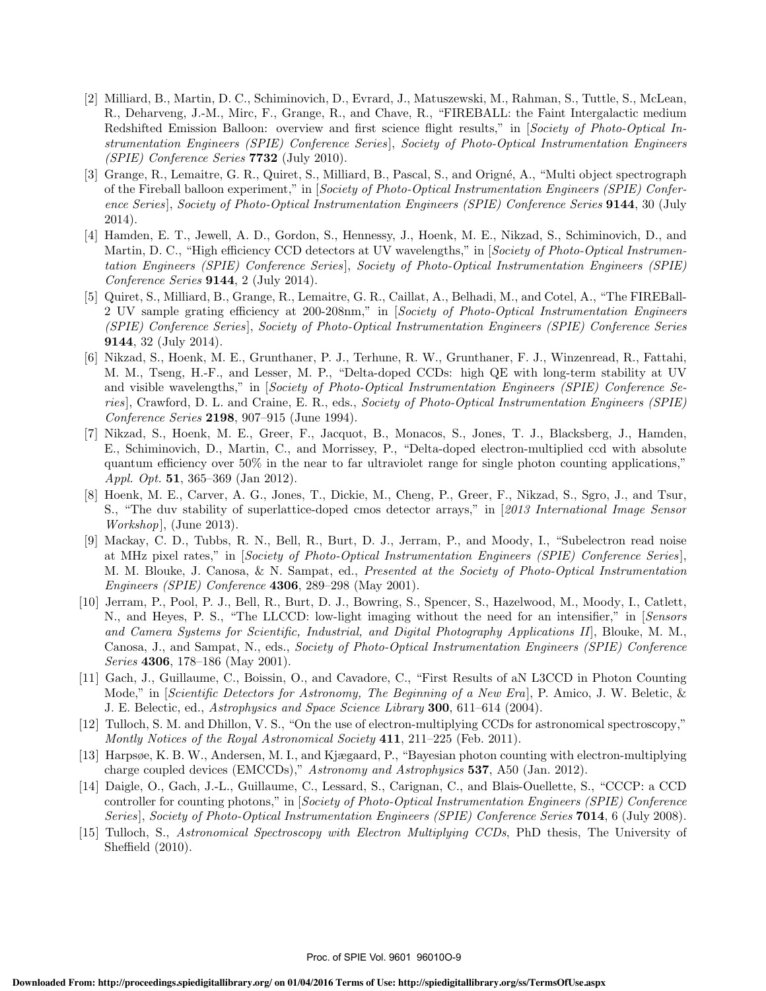- [2] Milliard, B., Martin, D. C., Schiminovich, D., Evrard, J., Matuszewski, M., Rahman, S., Tuttle, S., McLean, R., Deharveng, J.-M., Mirc, F., Grange, R., and Chave, R., "FIREBALL: the Faint Intergalactic medium Redshifted Emission Balloon: overview and first science flight results," in [*Society of Photo-Optical Instrumentation Engineers (SPIE) Conference Series*], *Society of Photo-Optical Instrumentation Engineers (SPIE) Conference Series* 7732 (July 2010).
- [3] Grange, R., Lemaitre, G. R., Quiret, S., Milliard, B., Pascal, S., and Origné, A., "Multi object spectrograph of the Fireball balloon experiment," in [*Society of Photo-Optical Instrumentation Engineers (SPIE) Conference Series*], *Society of Photo-Optical Instrumentation Engineers (SPIE) Conference Series* 9144, 30 (July 2014).
- [4] Hamden, E. T., Jewell, A. D., Gordon, S., Hennessy, J., Hoenk, M. E., Nikzad, S., Schiminovich, D., and Martin, D. C., "High efficiency CCD detectors at UV wavelengths," in *[Society of Photo-Optical Instrumentation Engineers (SPIE) Conference Series*], *Society of Photo-Optical Instrumentation Engineers (SPIE) Conference Series* 9144, 2 (July 2014).
- [5] Quiret, S., Milliard, B., Grange, R., Lemaitre, G. R., Caillat, A., Belhadi, M., and Cotel, A., "The FIREBall-2 UV sample grating efficiency at 200-208nm," in [*Society of Photo-Optical Instrumentation Engineers (SPIE) Conference Series*], *Society of Photo-Optical Instrumentation Engineers (SPIE) Conference Series* 9144, 32 (July 2014).
- [6] Nikzad, S., Hoenk, M. E., Grunthaner, P. J., Terhune, R. W., Grunthaner, F. J., Winzenread, R., Fattahi, M. M., Tseng, H.-F., and Lesser, M. P., "Delta-doped CCDs: high QE with long-term stability at UV and visible wavelengths," in [*Society of Photo-Optical Instrumentation Engineers (SPIE) Conference Series*], Crawford, D. L. and Craine, E. R., eds., *Society of Photo-Optical Instrumentation Engineers (SPIE) Conference Series* 2198, 907–915 (June 1994).
- [7] Nikzad, S., Hoenk, M. E., Greer, F., Jacquot, B., Monacos, S., Jones, T. J., Blacksberg, J., Hamden, E., Schiminovich, D., Martin, C., and Morrissey, P., "Delta-doped electron-multiplied ccd with absolute quantum efficiency over  $50\%$  in the near to far ultraviolet range for single photon counting applications," *Appl. Opt.* 51, 365–369 (Jan 2012).
- [8] Hoenk, M. E., Carver, A. G., Jones, T., Dickie, M., Cheng, P., Greer, F., Nikzad, S., Sgro, J., and Tsur, S., "The duv stability of superlattice-doped cmos detector arrays," in [*2013 International Image Sensor Workshop*], (June 2013).
- [9] Mackay, C. D., Tubbs, R. N., Bell, R., Burt, D. J., Jerram, P., and Moody, I., "Subelectron read noise at MHz pixel rates," in [*Society of Photo-Optical Instrumentation Engineers (SPIE) Conference Series*], M. M. Blouke, J. Canosa, & N. Sampat, ed., *Presented at the Society of Photo-Optical Instrumentation Engineers (SPIE) Conference* 4306, 289–298 (May 2001).
- [10] Jerram, P., Pool, P. J., Bell, R., Burt, D. J., Bowring, S., Spencer, S., Hazelwood, M., Moody, I., Catlett, N., and Heyes, P. S., "The LLCCD: low-light imaging without the need for an intensifier," in [*Sensors and Camera Systems for Scientific, Industrial, and Digital Photography Applications II*], Blouke, M. M., Canosa, J., and Sampat, N., eds., *Society of Photo-Optical Instrumentation Engineers (SPIE) Conference Series* 4306, 178–186 (May 2001).
- [11] Gach, J., Guillaume, C., Boissin, O., and Cavadore, C., "First Results of aN L3CCD in Photon Counting Mode," in [*Scientific Detectors for Astronomy, The Beginning of a New Era*], P. Amico, J. W. Beletic, & J. E. Belectic, ed., *Astrophysics and Space Science Library* 300, 611–614 (2004).
- [12] Tulloch, S. M. and Dhillon, V. S., "On the use of electron-multiplying CCDs for astronomical spectroscopy," *Montly Notices of the Royal Astronomical Society* 411, 211–225 (Feb. 2011).
- [13] Harpsøe, K. B. W., Andersen, M. I., and Kjægaard, P., "Bayesian photon counting with electron-multiplying charge coupled devices (EMCCDs)," *Astronomy and Astrophysics* 537, A50 (Jan. 2012).
- [14] Daigle, O., Gach, J.-L., Guillaume, C., Lessard, S., Carignan, C., and Blais-Ouellette, S., "CCCP: a CCD controller for counting photons," in [*Society of Photo-Optical Instrumentation Engineers (SPIE) Conference Series*], *Society of Photo-Optical Instrumentation Engineers (SPIE) Conference Series* 7014, 6 (July 2008).
- [15] Tulloch, S., *Astronomical Spectroscopy with Electron Multiplying CCDs*, PhD thesis, The University of Sheffield  $(2010)$ .